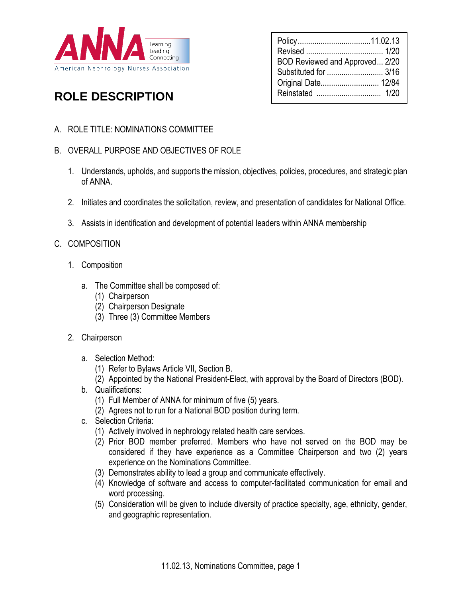

## Policy...................................11.02.13 Revised ..................................... 1/20 BOD Reviewed and Approved... 2/20 Substituted for ........................... 3/16 Original Date............................ 12/84 Reinstated ............................... 1/20

# **ROLE DESCRIPTION**

- A. ROLE TITLE: NOMINATIONS COMMITTEE
- B. OVERALL PURPOSE AND OBJECTIVES OF ROLE
	- 1. Understands, upholds, and supports the mission, objectives, policies, procedures, and strategic plan of ANNA.
	- 2. Initiates and coordinates the solicitation, review, and presentation of candidates for National Office.
	- 3. Assists in identification and development of potential leaders within ANNA membership
- C. COMPOSITION
	- 1. Composition
		- a. The Committee shall be composed of:
			- (1) Chairperson
			- (2) Chairperson Designate
			- (3) Three (3) Committee Members
	- 2. Chairperson
		- a. Selection Method:
			- (1) Refer to Bylaws Article VII, Section B.
			- (2) Appointed by the National President-Elect, with approval by the Board of Directors (BOD).
		- b. Qualifications:
			- (1) Full Member of ANNA for minimum of five (5) years.
			- (2) Agrees not to run for a National BOD position during term.
		- c. Selection Criteria:
			- (1) Actively involved in nephrology related health care services.
			- (2) Prior BOD member preferred. Members who have not served on the BOD may be considered if they have experience as a Committee Chairperson and two (2) years experience on the Nominations Committee.
			- (3) Demonstrates ability to lead a group and communicate effectively.
			- (4) Knowledge of software and access to computer-facilitated communication for email and word processing.
			- (5) Consideration will be given to include diversity of practice specialty, age, ethnicity, gender, and geographic representation.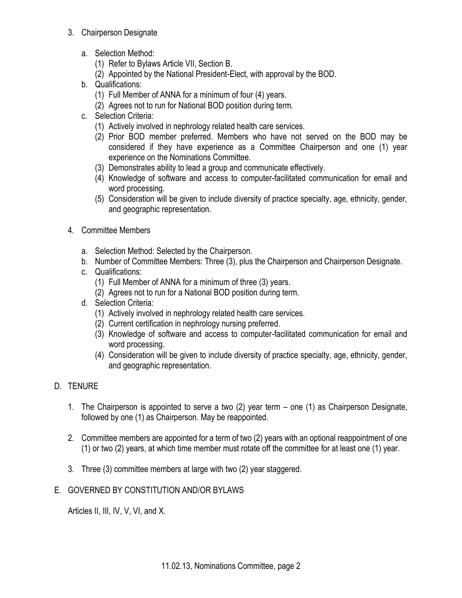### 3. Chairperson Designate

- a. Selection Method:
	- (1) Refer to Bylaws Article VII, Section B.
	- (2) Appointed by the National President-Elect, with approval by the BOD.
- b. Qualifications:
	- (1) Full Member of ANNA for a minimum of four (4) years.
	- (2) Agrees not to run for National BOD position during term.
- c. Selection Criteria:
	- (1) Actively involved in nephrology related health care services.
	- (2) Prior BOD member preferred. Members who have not served on the BOD may be considered if they have experience as a Committee Chairperson and one (1) year experience on the Nominations Committee.
	- (3) Demonstrates ability to lead a group and communicate effectively.
	- (4) Knowledge of software and access to computer-facilitated communication for email and word processing.
	- (5) Consideration will be given to include diversity of practice specialty, age, ethnicity, gender, and geographic representation.
- 4. Committee Members
	- a. Selection Method: Selected by the Chairperson.
	- b. Number of Committee Members: Three (3), plus the Chairperson and Chairperson Designate.
	- c. Qualifications:
		- (1) Full Member of ANNA for a minimum of three (3) years.
		- (2) Agrees not to run for a National BOD position during term.
	- d. Selection Criteria:
		- (1) Actively involved in nephrology related health care services.
		- (2) Current certification in nephrology nursing preferred.
		- (3) Knowledge of software and access to computer-facilitated communication for email and word processing.
		- (4) Consideration will be given to include diversity of practice specialty, age, ethnicity, gender, and geographic representation.

## D. TENURE

- 1. The Chairperson is appointed to serve a two (2) year term one (1) as Chairperson Designate, followed by one (1) as Chairperson. May be reappointed.
- 2. Committee members are appointed for a term of two (2) years with an optional reappointment of one (1) or two (2) years, at which time member must rotate off the committee for at least one (1) year.
- 3. Three (3) committee members at large with two (2) year staggered.
- E. GOVERNED BY CONSTITUTION AND/OR BYLAWS

Articles II, III, IV, V, VI, and X.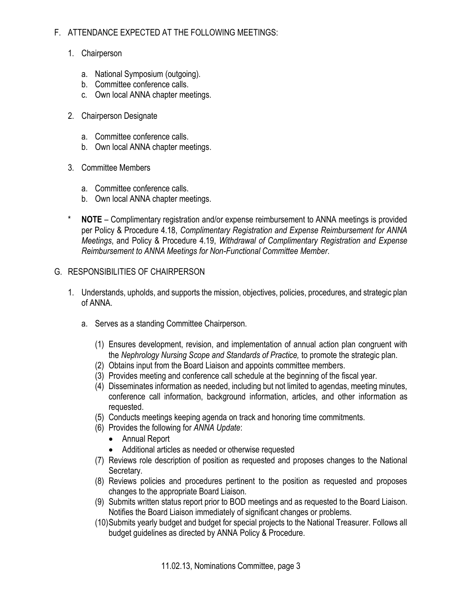## F. ATTENDANCE EXPECTED AT THE FOLLOWING MEETINGS:

- 1. Chairperson
	- a. National Symposium (outgoing).
	- b. Committee conference calls.
	- c. Own local ANNA chapter meetings.
- 2. Chairperson Designate
	- a. Committee conference calls.
	- b. Own local ANNA chapter meetings.
- 3. Committee Members
	- a. Committee conference calls.
	- b. Own local ANNA chapter meetings.
- **NOTE** Complimentary registration and/or expense reimbursement to ANNA meetings is provided per Policy & Procedure 4.18, *Complimentary Registration and Expense Reimbursement for ANNA Meetings*, and Policy & Procedure 4.19, *Withdrawal of Complimentary Registration and Expense Reimbursement to ANNA Meetings for Non-Functional Committee Member*.

### G. RESPONSIBILITIES OF CHAIRPERSON

- 1. Understands, upholds, and supports the mission, objectives, policies, procedures, and strategic plan of ANNA.
	- a. Serves as a standing Committee Chairperson.
		- (1) Ensures development, revision, and implementation of annual action plan congruent with the *Nephrology Nursing Scope and Standards of Practice,* to promote the strategic plan.
		- (2) Obtains input from the Board Liaison and appoints committee members.
		- (3) Provides meeting and conference call schedule at the beginning of the fiscal year.
		- (4) Disseminates information as needed, including but not limited to agendas, meeting minutes, conference call information, background information, articles, and other information as requested.
		- (5) Conducts meetings keeping agenda on track and honoring time commitments.
		- (6) Provides the following for *ANNA Update*:
			- Annual Report
			- Additional articles as needed or otherwise requested
		- (7) Reviews role description of position as requested and proposes changes to the National Secretary.
		- (8) Reviews policies and procedures pertinent to the position as requested and proposes changes to the appropriate Board Liaison.
		- (9) Submits written status report prior to BOD meetings and as requested to the Board Liaison. Notifies the Board Liaison immediately of significant changes or problems.
		- (10)Submits yearly budget and budget for special projects to the National Treasurer. Follows all budget guidelines as directed by ANNA Policy & Procedure.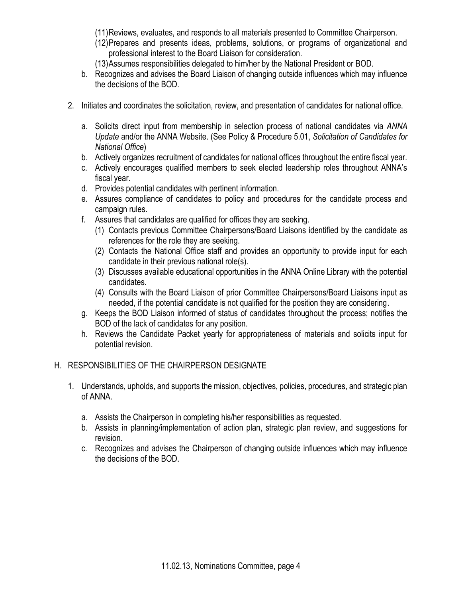(11)Reviews, evaluates, and responds to all materials presented to Committee Chairperson.

- (12)Prepares and presents ideas, problems, solutions, or programs of organizational and professional interest to the Board Liaison for consideration.
- (13)Assumes responsibilities delegated to him/her by the National President or BOD.
- b. Recognizes and advises the Board Liaison of changing outside influences which may influence the decisions of the BOD.
- 2. Initiates and coordinates the solicitation, review, and presentation of candidates for national office.
	- a. Solicits direct input from membership in selection process of national candidates via *ANNA Update* and/or the ANNA Website. (See Policy & Procedure 5.01, *Solicitation of Candidates for National Office*)
	- b. Actively organizes recruitment of candidates for national offices throughout the entire fiscal year.
	- c. Actively encourages qualified members to seek elected leadership roles throughout ANNA's fiscal year.
	- d. Provides potential candidates with pertinent information.
	- e. Assures compliance of candidates to policy and procedures for the candidate process and campaign rules.
	- f. Assures that candidates are qualified for offices they are seeking.
		- (1) Contacts previous Committee Chairpersons/Board Liaisons identified by the candidate as references for the role they are seeking.
		- (2) Contacts the National Office staff and provides an opportunity to provide input for each candidate in their previous national role(s).
		- (3) Discusses available educational opportunities in the ANNA Online Library with the potential candidates.
		- (4) Consults with the Board Liaison of prior Committee Chairpersons/Board Liaisons input as needed, if the potential candidate is not qualified for the position they are considering.
	- g. Keeps the BOD Liaison informed of status of candidates throughout the process; notifies the BOD of the lack of candidates for any position.
	- h. Reviews the Candidate Packet yearly for appropriateness of materials and solicits input for potential revision.

#### H. RESPONSIBILITIES OF THE CHAIRPERSON DESIGNATE

- 1. Understands, upholds, and supports the mission, objectives, policies, procedures, and strategic plan of ANNA.
	- a. Assists the Chairperson in completing his/her responsibilities as requested.
	- b. Assists in planning/implementation of action plan, strategic plan review, and suggestions for revision.
	- c. Recognizes and advises the Chairperson of changing outside influences which may influence the decisions of the BOD.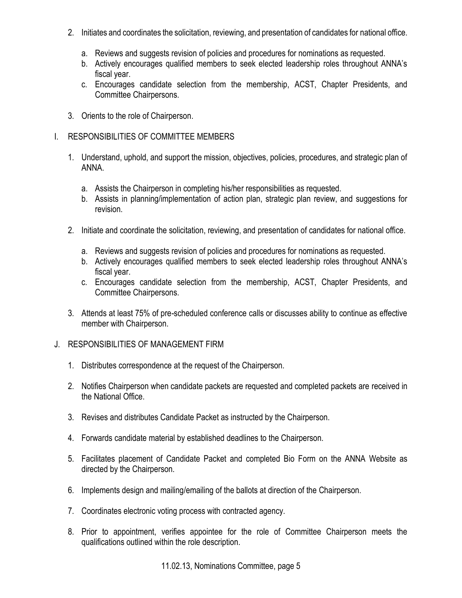- 2. Initiates and coordinates the solicitation, reviewing, and presentation of candidates for national office.
	- a. Reviews and suggests revision of policies and procedures for nominations as requested.
	- b. Actively encourages qualified members to seek elected leadership roles throughout ANNA's fiscal year.
	- c. Encourages candidate selection from the membership, ACST, Chapter Presidents, and Committee Chairpersons.
- 3. Orients to the role of Chairperson.
- I. RESPONSIBILITIES OF COMMITTEE MEMBERS
	- 1. Understand, uphold, and support the mission, objectives, policies, procedures, and strategic plan of ANNA.
		- a. Assists the Chairperson in completing his/her responsibilities as requested.
		- b. Assists in planning/implementation of action plan, strategic plan review, and suggestions for revision.
	- 2. Initiate and coordinate the solicitation, reviewing, and presentation of candidates for national office.
		- a. Reviews and suggests revision of policies and procedures for nominations as requested.
		- b. Actively encourages qualified members to seek elected leadership roles throughout ANNA's fiscal year.
		- c. Encourages candidate selection from the membership, ACST, Chapter Presidents, and Committee Chairpersons.
	- 3. Attends at least 75% of pre-scheduled conference calls or discusses ability to continue as effective member with Chairperson.
- J. RESPONSIBILITIES OF MANAGEMENT FIRM
	- 1. Distributes correspondence at the request of the Chairperson.
	- 2. Notifies Chairperson when candidate packets are requested and completed packets are received in the National Office.
	- 3. Revises and distributes Candidate Packet as instructed by the Chairperson.
	- 4. Forwards candidate material by established deadlines to the Chairperson.
	- 5. Facilitates placement of Candidate Packet and completed Bio Form on the ANNA Website as directed by the Chairperson.
	- 6. Implements design and mailing/emailing of the ballots at direction of the Chairperson.
	- 7. Coordinates electronic voting process with contracted agency.
	- 8. Prior to appointment, verifies appointee for the role of Committee Chairperson meets the qualifications outlined within the role description.